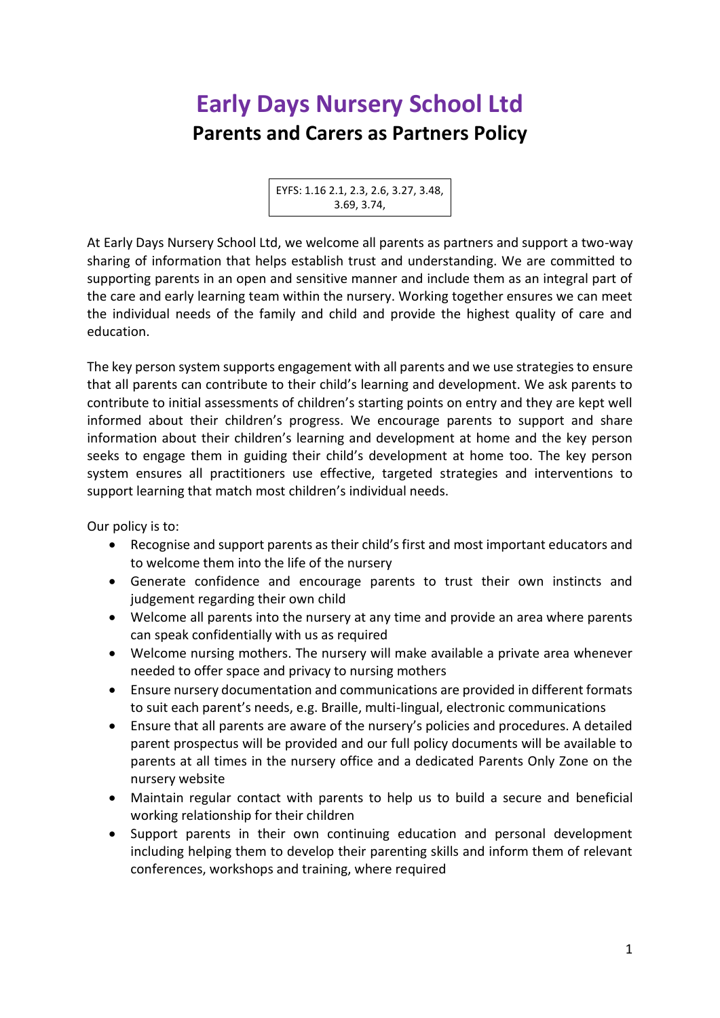## **Early Days Nursery School Ltd Parents and Carers as Partners Policy**

EYFS: 1.16 2.1, 2.3, 2.6, 3.27, 3.48, 3.69, 3.74,

At Early Days Nursery School Ltd, we welcome all parents as partners and support a two-way sharing of information that helps establish trust and understanding. We are committed to supporting parents in an open and sensitive manner and include them as an integral part of the care and early learning team within the nursery. Working together ensures we can meet the individual needs of the family and child and provide the highest quality of care and education.

The key person system supports engagement with all parents and we use strategies to ensure that all parents can contribute to their child's learning and development. We ask parents to contribute to initial assessments of children's starting points on entry and they are kept well informed about their children's progress. We encourage parents to support and share information about their children's learning and development at home and the key person seeks to engage them in guiding their child's development at home too. The key person system ensures all practitioners use effective, targeted strategies and interventions to support learning that match most children's individual needs.

Our policy is to:

- Recognise and support parents as their child's first and most important educators and to welcome them into the life of the nursery
- Generate confidence and encourage parents to trust their own instincts and judgement regarding their own child
- Welcome all parents into the nursery at any time and provide an area where parents can speak confidentially with us as required
- Welcome nursing mothers. The nursery will make available a private area whenever needed to offer space and privacy to nursing mothers
- Ensure nursery documentation and communications are provided in different formats to suit each parent's needs, e.g. Braille, multi-lingual, electronic communications
- Ensure that all parents are aware of the nursery's policies and procedures. A detailed parent prospectus will be provided and our full policy documents will be available to parents at all times in the nursery office and a dedicated Parents Only Zone on the nursery website
- Maintain regular contact with parents to help us to build a secure and beneficial working relationship for their children
- Support parents in their own continuing education and personal development including helping them to develop their parenting skills and inform them of relevant conferences, workshops and training, where required